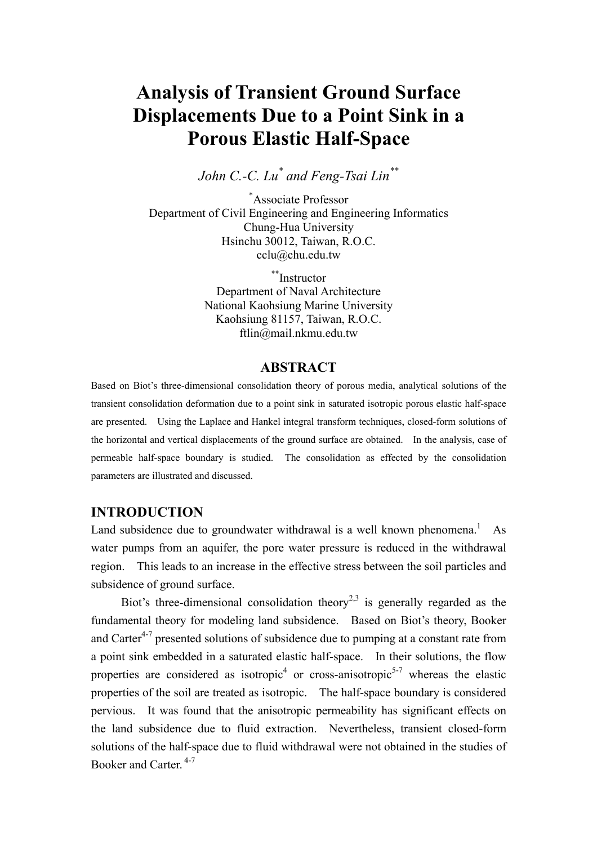# **Analysis of Transient Ground Surface Displacements Due to a Point Sink in a Porous Elastic Half-Space**

*John C.-C. Lu\* and Feng-Tsai Lin\*\** 

\* Associate Professor Department of Civil Engineering and Engineering Informatics Chung-Hua University Hsinchu 30012, Taiwan, R.O.C. cclu@chu.edu.tw

> \*\*Instructor Department of Naval Architecture National Kaohsiung Marine University Kaohsiung 81157, Taiwan, R.O.C. ftlin@mail.nkmu.edu.tw

# **ABSTRACT**

Based on Biot's three-dimensional consolidation theory of porous media, analytical solutions of the transient consolidation deformation due to a point sink in saturated isotropic porous elastic half-space are presented. Using the Laplace and Hankel integral transform techniques, closed-form solutions of the horizontal and vertical displacements of the ground surface are obtained. In the analysis, case of permeable half-space boundary is studied. The consolidation as effected by the consolidation parameters are illustrated and discussed.

## **INTRODUCTION**

Land subsidence due to groundwater withdrawal is a well known phenomena.<sup>1</sup> As water pumps from an aquifer, the pore water pressure is reduced in the withdrawal region. This leads to an increase in the effective stress between the soil particles and subsidence of ground surface.

Biot's three-dimensional consolidation theory<sup>2,3</sup> is generally regarded as the fundamental theory for modeling land subsidence. Based on Biot's theory, Booker and Carter<sup> $4-7$ </sup> presented solutions of subsidence due to pumping at a constant rate from a point sink embedded in a saturated elastic half-space. In their solutions, the flow properties are considered as isotropic<sup>4</sup> or cross-anisotropic<sup>5-7</sup> whereas the elastic properties of the soil are treated as isotropic. The half-space boundary is considered pervious. It was found that the anisotropic permeability has significant effects on the land subsidence due to fluid extraction. Nevertheless, transient closed-form solutions of the half-space due to fluid withdrawal were not obtained in the studies of Booker and Carter.<sup>4-7</sup>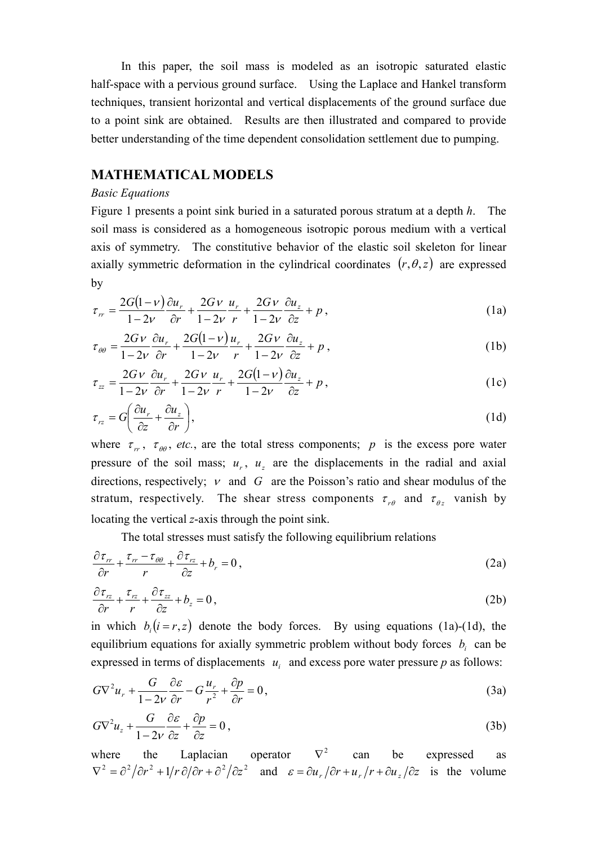In this paper, the soil mass is modeled as an isotropic saturated elastic half-space with a pervious ground surface. Using the Laplace and Hankel transform techniques, transient horizontal and vertical displacements of the ground surface due to a point sink are obtained. Results are then illustrated and compared to provide better understanding of the time dependent consolidation settlement due to pumping.

# **MATHEMATICAL MODELS**

#### *Basic Equations*

Figure 1 presents a point sink buried in a saturated porous stratum at a depth *h*. The soil mass is considered as a homogeneous isotropic porous medium with a vertical axis of symmetry. The constitutive behavior of the elastic soil skeleton for linear axially symmetric deformation in the cylindrical coordinates  $(r, \theta, z)$  are expressed by

$$
\tau_{rr} = \frac{2G(1-\nu)}{1-2\nu}\frac{\partial u_r}{\partial r} + \frac{2G\nu}{1-2\nu}\frac{u_r}{r} + \frac{2G\nu}{1-2\nu}\frac{\partial u_z}{\partial z} + p\,,\tag{1a}
$$

$$
\tau_{\theta\theta} = \frac{2Gv}{1-2v}\frac{\partial u_r}{\partial r} + \frac{2G(1-v)}{1-2v}\frac{u_r}{r} + \frac{2Gv}{1-2v}\frac{\partial u_z}{\partial z} + p\,,\tag{1b}
$$

$$
\tau_{zz} = \frac{2Gv}{1-2v} \frac{\partial u_r}{\partial r} + \frac{2Gv}{1-2v} \frac{u_r}{r} + \frac{2G(1-v)}{1-2v} \frac{\partial u_z}{\partial z} + p \,, \tag{1c}
$$

$$
\tau_{rz} = G \left( \frac{\partial u_r}{\partial z} + \frac{\partial u_z}{\partial r} \right),\tag{1d}
$$

where  $\tau_r$ ,  $\tau_{\theta\theta}$ , *etc.*, are the total stress components; *p* is the excess pore water pressure of the soil mass;  $u_r$ ,  $u_z$  are the displacements in the radial and axial directions, respectively;  $\nu$  and  $G$  are the Poisson's ratio and shear modulus of the stratum, respectively. The shear stress components  $\tau_{r\theta}$  and  $\tau_{\theta z}$  vanish by locating the vertical *z*-axis through the point sink.

The total stresses must satisfy the following equilibrium relations

$$
\frac{\partial \tau_{rr}}{\partial r} + \frac{\tau_{rr} - \tau_{\theta\theta}}{r} + \frac{\partial \tau_{rz}}{\partial z} + b_r = 0, \qquad (2a)
$$

$$
\frac{\partial \tau_{rz}}{\partial r} + \frac{\tau_{rz}}{r} + \frac{\partial \tau_{zz}}{\partial z} + b_z = 0, \qquad (2b)
$$

in which  $b_i(i = r, z)$  denote the body forces. By using equations (1a)-(1d), the equilibrium equations for axially symmetric problem without body forces  $b_i$  can be expressed in terms of displacements  $u_i$  and excess pore water pressure  $p$  as follows:

$$
G\nabla^2 u_r + \frac{G}{1 - 2v} \frac{\partial \varepsilon}{\partial r} - G \frac{u_r}{r^2} + \frac{\partial p}{\partial r} = 0,
$$
\n(3a)

$$
G\nabla^2 u_z + \frac{G}{1 - 2\nu} \frac{\partial \varepsilon}{\partial z} + \frac{\partial p}{\partial z} = 0,
$$
\n(3b)

where the Laplacian operator  $\nabla^2$  can be expressed as  $\nabla^2 = \frac{\partial^2}{\partial r^2} + \frac{1}{r} \frac{\partial}{\partial r} + \frac{\partial^2}{\partial z^2}$  and  $\varepsilon = \frac{\partial u_r}{\partial r} + \frac{u_r}{r} + \frac{\partial u_z}{\partial z}$  is the volume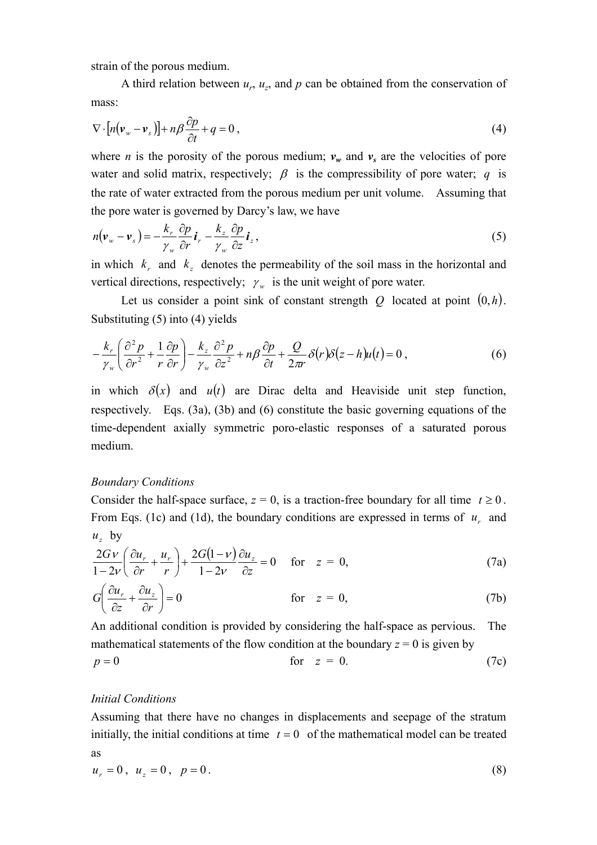strain of the porous medium.

A third relation between  $u_r$ ,  $u_z$ , and p can be obtained from the conservation of mass:

$$
\nabla \cdot [n(\mathbf{v}_{w} - \mathbf{v}_{s})] + n\beta \frac{\partial p}{\partial t} + q = 0,
$$
\n(4)

where *n* is the porosity of the porous medium;  $v_w$  and  $v_s$  are the velocities of pore water and solid matrix, respectively;  $\beta$  is the compressibility of pore water; *q* is the rate of water extracted from the porous medium per unit volume. Assuming that the pore water is governed by Darcy's law, we have

$$
n(\mathbf{v}_{w} - \mathbf{v}_{s}) = -\frac{k_{r}}{\gamma_{w}} \frac{\partial p}{\partial r} \mathbf{i}_{r} - \frac{k_{z}}{\gamma_{w}} \frac{\partial p}{\partial z} \mathbf{i}_{z}, \qquad (5)
$$

in which  $k<sub>r</sub>$  and  $k<sub>r</sub>$  denotes the permeability of the soil mass in the horizontal and vertical directions, respectively;  $\gamma_w$  is the unit weight of pore water.

Let us consider a point sink of constant strength  $Q$  located at point  $(0,h)$ . Substituting (5) into (4) yields

$$
-\frac{k_r}{\gamma_w} \left( \frac{\partial^2 p}{\partial r^2} + \frac{1}{r} \frac{\partial p}{\partial r} \right) - \frac{k_z}{\gamma_w} \frac{\partial^2 p}{\partial z^2} + n\beta \frac{\partial p}{\partial t} + \frac{Q}{2\pi r} \delta(r) \delta(z - h) u(t) = 0,
$$
\n(6)

in which  $\delta(x)$  and  $u(t)$  are Dirac delta and Heaviside unit step function, respectively. Eqs. (3a), (3b) and (6) constitute the basic governing equations of the time-dependent axially symmetric poro-elastic responses of a saturated porous medium.

#### *Boundary Conditions*

Consider the half-space surface,  $z = 0$ , is a traction-free boundary for all time  $t \ge 0$ . From Eqs. (1c) and (1d), the boundary conditions are expressed in terms of  $u<sub>r</sub>$  and  $u<sub>z</sub>$  by

$$
\frac{2Gv}{1-2v} \left( \frac{\partial u_r}{\partial r} + \frac{u_r}{r} \right) + \frac{2G(1-v)}{1-2v} \frac{\partial u_z}{\partial z} = 0 \quad \text{for} \quad z = 0,
$$
\n(7a)

$$
G\left(\frac{\partial u_r}{\partial z} + \frac{\partial u_z}{\partial r}\right) = 0
$$
 for  $z = 0$ , (7b)

An additional condition is provided by considering the half-space as pervious. The mathematical statements of the flow condition at the boundary  $z = 0$  is given by

$$
p = 0 \qquad \qquad \text{for} \quad z = 0. \tag{7c}
$$

#### *Initial Conditions*

Assuming that there have no changes in displacements and seepage of the stratum initially, the initial conditions at time  $t = 0$  of the mathematical model can be treated as

$$
u_r = 0, u_z = 0, p = 0.
$$
 (8)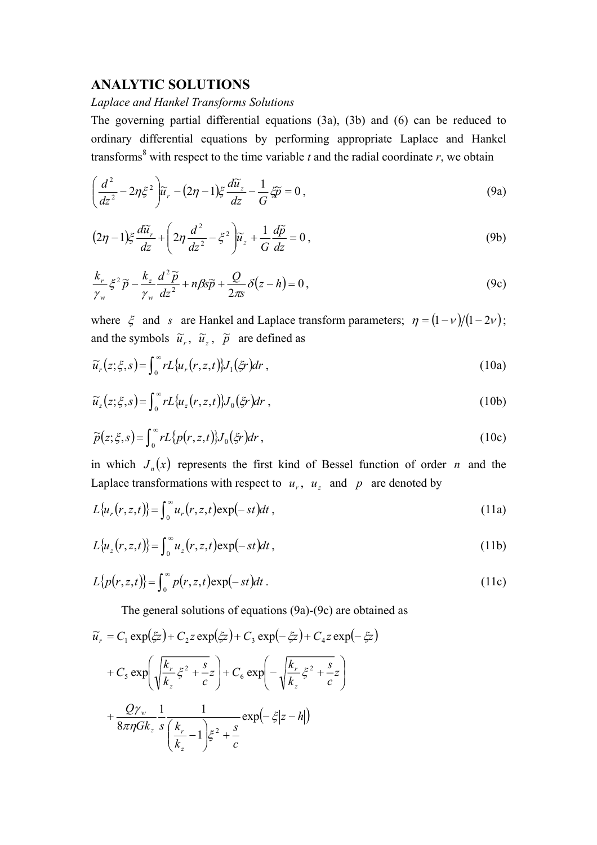# **ANALYTIC SOLUTIONS**

#### *Laplace and Hankel Transforms Solutions*

The governing partial differential equations (3a), (3b) and (6) can be reduced to ordinary differential equations by performing appropriate Laplace and Hankel transforms<sup>8</sup> with respect to the time variable  $t$  and the radial coordinate  $r$ , we obtain

$$
\left(\frac{d^2}{dz^2} - 2\eta \xi^2\right) \widetilde{u}_r - (2\eta - 1)\xi \frac{d\widetilde{u}_z}{dz} - \frac{1}{G}\widetilde{\mathcal{P}} = 0\,,\tag{9a}
$$

$$
(2\eta - 1)\xi \frac{d\widetilde{u}_r}{dz} + \left(2\eta \frac{d^2}{dz^2} - \xi^2\right) \widetilde{u}_z + \frac{1}{G} \frac{d\widetilde{p}}{dz} = 0,
$$
\n(9b)

$$
\frac{k_r}{\gamma_w} \xi^2 \widetilde{p} - \frac{k_z}{\gamma_w} \frac{d^2 \widetilde{p}}{dz^2} + n\beta s \widetilde{p} + \frac{Q}{2\pi s} \delta(z - h) = 0, \qquad (9c)
$$

where  $\xi$  and *s* are Hankel and Laplace transform parameters;  $\eta = (1 - \nu)/(1 - 2\nu)$ ; and the symbols  $\tilde{u}_r$ ,  $\tilde{u}_z$ ,  $\tilde{p}$  are defined as

$$
\widetilde{u}_r(z;\xi,s) = \int_0^\infty r L \{u_r(r,z,t)\} J_1(\xi r) dr , \qquad (10a)
$$

$$
\widetilde{u}_z(z;\xi,s) = \int_0^\infty r L \{u_z(r,z,t)\} J_0(\xi r) dr , \qquad (10b)
$$

$$
\widetilde{p}(z;\xi,s) = \int_0^\infty r L\{p(r,z,t)\} J_0(\xi r) dr , \qquad (10c)
$$

in which  $J_n(x)$  represents the first kind of Bessel function of order *n* and the Laplace transformations with respect to  $u_r$ ,  $u_z$  and p are denoted by

$$
L\{u_r(r,z,t)\} = \int_0^\infty u_r(r,z,t) \exp(-st) dt , \qquad (11a)
$$

$$
L\{u_z(r,z,t)\} = \int_0^\infty u_z(r,z,t) \exp(-st) dt,
$$
\n(11b)

$$
L\{p(r,z,t)\} = \int_0^\infty p(r,z,t) \exp(-st) dt.
$$
 (11c)

The general solutions of equations (9a)-(9c) are obtained as

$$
\widetilde{u}_r = C_1 \exp(\xi z) + C_2 z \exp(\xi z) + C_3 \exp(-\xi z) + C_4 z \exp(-\xi z)
$$

$$
+ C_5 \exp\left(\sqrt{\frac{k_r}{k_z}} \xi^2 + \frac{s}{c}z\right) + C_6 \exp\left(-\sqrt{\frac{k_r}{k_z}} \xi^2 + \frac{s}{c}z\right)
$$

$$
+ \frac{Q\gamma_w}{8\pi\eta G k_z} \frac{1}{s} \frac{1}{\left(\frac{k_r}{k_z} - 1\right) \xi^2 + \frac{s}{c}} \exp(-\xi |z - h|)
$$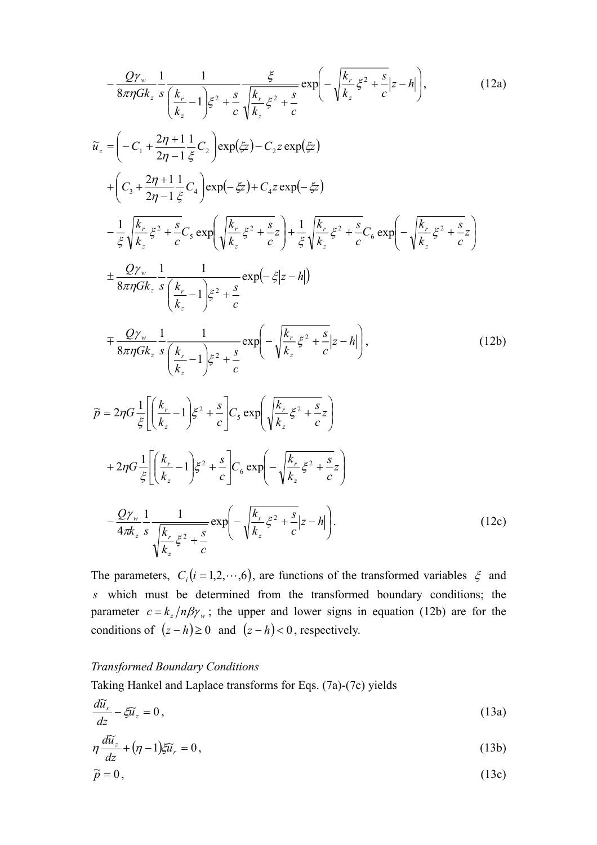$$
-\frac{Q\gamma_{w}}{8\pi\eta Gk_{z}}\frac{1}{s}\frac{1}{\left(\frac{k_{r}}{k_{z}}-1\right)\xi^{2}+\frac{s}{c}}\frac{\xi}{\sqrt{\frac{k_{r}}{k_{z}}\xi^{2}+\frac{s}{c}}}\exp\left(-\sqrt{\frac{k_{r}}{k_{z}}\xi^{2}+\frac{s}{c}}|z-h|\right),\qquad(12a)
$$
\n
$$
\widetilde{u}_{z} = \left(-C_{1} + \frac{2\eta+1}{2\eta-1}\frac{1}{\xi}C_{2}\right)\exp(\xi z)-C_{2}z\exp(\xi z)
$$
\n
$$
+\left(C_{3} + \frac{2\eta+1}{2\eta-1}\frac{1}{\xi}C_{4}\right)\exp(-\xi z)+C_{4}z\exp(-\xi z)
$$
\n
$$
-\frac{1}{\xi}\sqrt{\frac{k_{r}}{k_{z}}\xi^{2}+\frac{s}{c}}C_{5}\exp\left(\sqrt{\frac{k_{r}}{k_{z}}\xi^{2}+\frac{s}{c}}\right)+\frac{1}{\xi}\sqrt{\frac{k_{r}}{k_{z}}\xi^{2}+\frac{s}{c}}C_{6}\exp\left(-\sqrt{\frac{k_{r}}{k_{z}}\xi^{2}+\frac{s}{c}}\right)
$$
\n
$$
\pm\frac{Q\gamma_{w}}{8\pi\eta Gk_{z}}\frac{1}{s}\frac{1}{\left(\frac{k_{r}}{k_{z}}-1\right)\xi^{2}+\frac{s}{c}}\exp(-\xi|z-h|\right)
$$
\n
$$
\widetilde{p}=2\eta G\frac{1}{\xi}\left[\frac{k_{r}}{k_{z}}-1\right]\xi^{2}+\frac{s}{c}\exp\left(-\sqrt{\frac{k_{r}}{k_{z}}\xi^{2}+\frac{s}{c}}|z-h|\right),\qquad(12b)
$$
\n
$$
\widetilde{p}=2\eta G\frac{1}{\xi}\left[\frac{k_{r}}{k_{z}}-1\right]\xi^{2}+\frac{s}{c}\right]C_{6}\exp\left(-\sqrt{\frac{k_{r}}{k_{z}}\xi^{2}+\frac{s}{c}}z\right)
$$
\n
$$
+2\eta G\frac{1}{\xi}\left[\frac{k_{r}}{k_{z}}-1\right]\xi^{2}+\frac{s}{c}\right]C_{6}\exp\left(-\sqrt{\frac{k_{r}}{k_{z}}\xi^{2}+\frac{s}{c}}z\right)
$$

The parameters,  $C_i$  ( $i = 1, 2, \dots, 6$ ), are functions of the transformed variables  $\xi$  and *s* which must be determined from the transformed boundary conditions; the parameter  $c = k_z/n\beta\gamma_w$ ; the upper and lower signs in equation (12b) are for the conditions of  $(z - h) \ge 0$  and  $(z - h) < 0$ , respectively.

#### *Transformed Boundary Conditions*

Taking Hankel and Laplace transforms for Eqs. (7a)-(7c) yields

$$
\frac{d\widetilde{u}_r}{dz} - \xi \widetilde{u}_z = 0, \tag{13a}
$$

$$
\eta \frac{d\widetilde{u}_z}{dz} + (\eta - 1)\xi \widetilde{u}_r = 0, \qquad (13b)
$$

$$
\widetilde{p} = 0, \tag{13c}
$$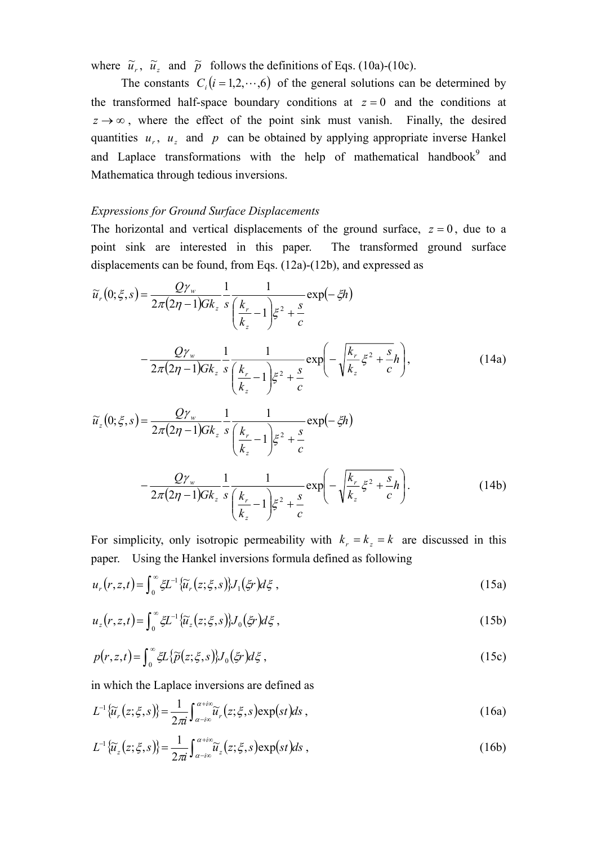where  $\tilde{u}_r$ ,  $\tilde{u}_z$  and  $\tilde{p}$  follows the definitions of Eqs. (10a)-(10c).

The constants  $C_i$  ( $i = 1, 2, \dots, 6$ ) of the general solutions can be determined by the transformed half-space boundary conditions at  $z = 0$  and the conditions at  $z \rightarrow \infty$ , where the effect of the point sink must vanish. Finally, the desired quantities  $u_r$ ,  $u_s$  and  $p$  can be obtained by applying appropriate inverse Hankel and Laplace transformations with the help of mathematical handbook $9$  and Mathematica through tedious inversions.

#### *Expressions for Ground Surface Displacements*

The horizontal and vertical displacements of the ground surface,  $z = 0$ , due to a point sink are interested in this paper. The transformed ground surface displacements can be found, from Eqs. (12a)-(12b), and expressed as

$$
\widetilde{u}_{r}(0;\xi,s) = \frac{Q\gamma_{w}}{2\pi(2\eta-1)Gk_{z}}\frac{1}{s}\frac{1}{\left(\frac{k_{r}}{k_{z}}-1\right)\xi^{2}+\frac{s}{c}}\exp(-\xi h)
$$
\n
$$
-\frac{Q\gamma_{w}}{2\pi(2\eta-1)Gk_{z}}\frac{1}{s}\frac{1}{\left(\frac{k_{r}}{k_{z}}-1\right)\xi^{2}+\frac{s}{c}}\exp\left(-\sqrt{\frac{k_{r}}{k_{z}}\xi^{2}+\frac{s}{c}}h\right),\tag{14a}
$$
\n
$$
\widetilde{u}_{z}(0;\xi,s) = \frac{Q\gamma_{w}}{2\pi(2\eta-1)Gk_{z}}\frac{1}{s}\frac{1}{\left(\frac{k_{r}}{k_{z}}-1\right)\xi^{2}+\frac{s}{c}}\exp(-\xi h)
$$

$$
-\frac{Q\gamma_{w}}{2\pi(2\eta-1)Gk_{z}}\frac{1}{s}\left(\frac{\kappa_{r}}{k_{z}}-1\right)\xi^{2}+\frac{s}{c}
$$
\n
$$
-\frac{Q\gamma_{w}}{2\pi(2\eta-1)Gk_{z}}\frac{1}{s}\frac{1}{\left(\frac{k_{r}}{k_{z}}-1\right)\xi^{2}+\frac{s}{c}}\exp\left(-\sqrt{\frac{k_{r}}{k_{z}}}\xi^{2}+\frac{s}{c}h\right).
$$
\n(14b)

For simplicity, only isotropic permeability with  $k<sub>r</sub> = k<sub>z</sub> = k$  are discussed in this paper. Using the Hankel inversions formula defined as following

$$
u_r(r,z,t) = \int_0^\infty \xi L^{-1} \{\widetilde{u}_r(z;\xi,s)\} J_1(\xi r) d\xi , \qquad (15a)
$$

$$
u_z(r, z, t) = \int_0^\infty \xi L^{-1} \{\widetilde{u}_z(z; \xi, s)\} J_0(\xi r) d\xi , \qquad (15b)
$$

$$
p(r, z, t) = \int_0^\infty \xi L\{\widetilde{p}(z; \xi, s)\} J_0(\xi r) d\xi,
$$
\n(15c)

in which the Laplace inversions are defined as

$$
L^{-1}\{\widetilde{u}_r(z;\xi,s)\} = \frac{1}{2\pi i} \int_{\alpha - i\infty}^{\alpha + i\infty} \widetilde{u}_r(z;\xi,s) \exp(st) ds ,
$$
 (16a)

$$
L^{-1}\{\widetilde{u}_z(z;\xi,s)\} = \frac{1}{2\pi i} \int_{\alpha - i\infty}^{\alpha + i\infty} \widetilde{u}_z(z;\xi,s) \exp(st) ds ,
$$
 (16b)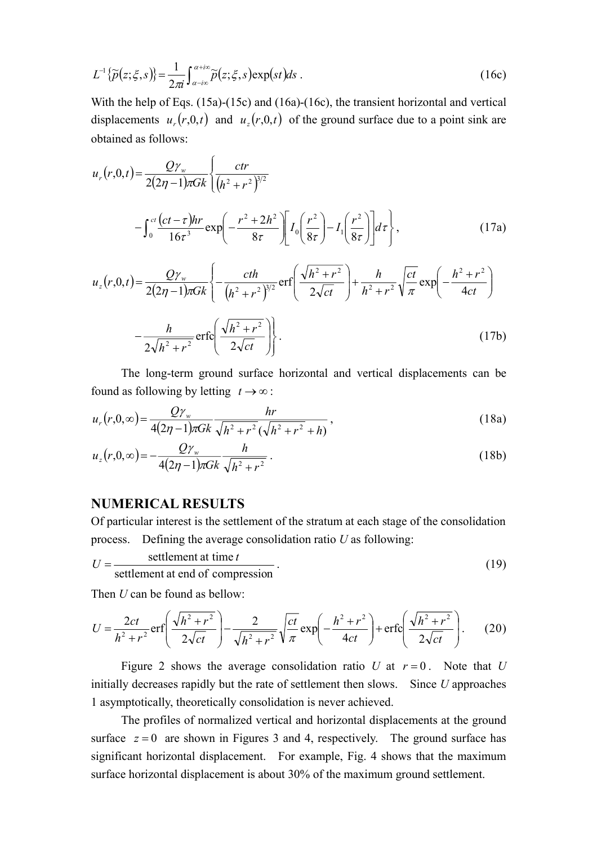$$
L^{-1}\{\widetilde{p}(z;\xi,s)\} = \frac{1}{2\pi i} \int_{\alpha - i\infty}^{\alpha + i\infty} \widetilde{p}(z;\xi,s) \exp(st) ds . \tag{16c}
$$

With the help of Eqs. (15a)-(15c) and (16a)-(16c), the transient horizontal and vertical displacements  $u_r(r, 0, t)$  and  $u_r(r, 0, t)$  of the ground surface due to a point sink are obtained as follows:

$$
u_r(r,0,t) = \frac{Q\gamma_w}{2(2\eta - 1)\pi Gk} \left\{ \frac{ctr}{(h^2 + r^2)^{3/2}} - \int_0^{ct} \frac{(ct - \tau)hr}{16\tau^3} \exp\left(-\frac{r^2 + 2h^2}{8\tau}\right) \left[I_0\left(\frac{r^2}{8\tau}\right) - I_1\left(\frac{r^2}{8\tau}\right)\right] d\tau \right\},
$$
(17a)

$$
u_z(r,0,t) = \frac{Q\gamma_w}{2(2\eta - 1)\pi Gk} \left\{ -\frac{cth}{(h^2 + r^2)^{3/2}} \operatorname{erf}\left(\frac{\sqrt{h^2 + r^2}}{2\sqrt{ct}}\right) + \frac{h}{h^2 + r^2} \sqrt{\frac{ct}{\pi}} \exp\left(-\frac{h^2 + r^2}{4ct}\right) - \frac{h}{2\sqrt{h^2 + r^2}} \operatorname{erfc}\left(\frac{\sqrt{h^2 + r^2}}{2\sqrt{ct}}\right) \right\}.
$$
 (17b)

 The long-term ground surface horizontal and vertical displacements can be found as following by letting  $t \to \infty$ :

$$
u_r(r,0,\infty) = \frac{Q\gamma_w}{4(2\eta - 1)\pi Gk} \frac{hr}{\sqrt{h^2 + r^2}(\sqrt{h^2 + r^2} + h)},
$$
\n(18a)

$$
u_z(r,0,\infty) = -\frac{Q\gamma_w}{4(2\eta - 1)\pi Gk} \frac{h}{\sqrt{h^2 + r^2}}.
$$
 (18b)

## **NUMERICAL RESULTS**

Of particular interest is the settlement of the stratum at each stage of the consolidation process. Defining the average consolidation ratio *U* as following:

 $U = \frac{\text{scutential at time } t}{\text{settlement at end of compression}}$ settlement at time  $t$  (19)

Then *U* can be found as bellow:

$$
U = \frac{2ct}{h^2 + r^2} \text{erf}\left(\frac{\sqrt{h^2 + r^2}}{2\sqrt{ct}}\right) - \frac{2}{\sqrt{h^2 + r^2}} \sqrt{\frac{ct}{\pi}} \exp\left(-\frac{h^2 + r^2}{4ct}\right) + \text{erfc}\left(\frac{\sqrt{h^2 + r^2}}{2\sqrt{ct}}\right). \tag{20}
$$

Figure 2 shows the average consolidation ratio *U* at  $r = 0$ . Note that *U* initially decreases rapidly but the rate of settlement then slows. Since *U* approaches 1 asymptotically, theoretically consolidation is never achieved.

 The profiles of normalized vertical and horizontal displacements at the ground surface  $z = 0$  are shown in Figures 3 and 4, respectively. The ground surface has significant horizontal displacement. For example, Fig. 4 shows that the maximum surface horizontal displacement is about 30% of the maximum ground settlement.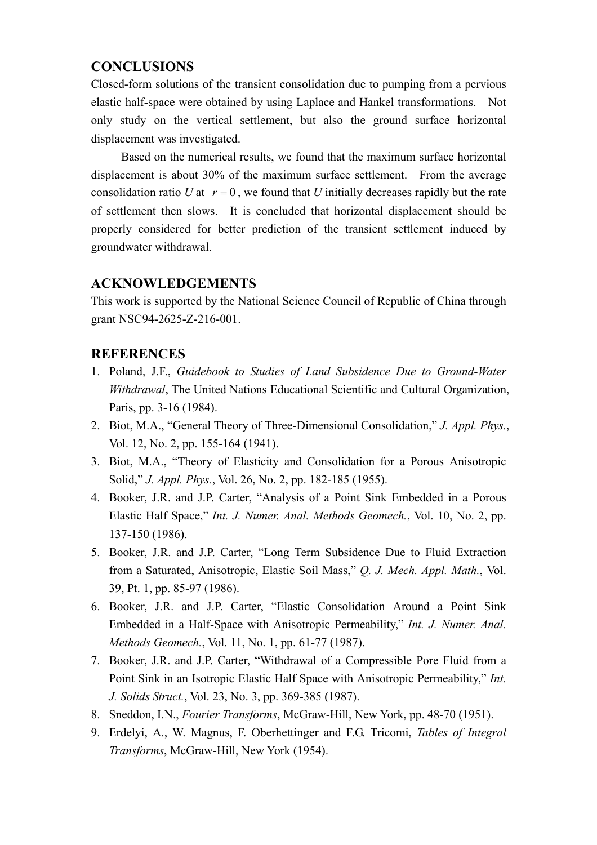# **CONCLUSIONS**

Closed-form solutions of the transient consolidation due to pumping from a pervious elastic half-space were obtained by using Laplace and Hankel transformations. Not only study on the vertical settlement, but also the ground surface horizontal displacement was investigated.

Based on the numerical results, we found that the maximum surface horizontal displacement is about 30% of the maximum surface settlement. From the average consolidation ratio *U* at  $r = 0$ , we found that *U* initially decreases rapidly but the rate of settlement then slows. It is concluded that horizontal displacement should be properly considered for better prediction of the transient settlement induced by groundwater withdrawal.

# **ACKNOWLEDGEMENTS**

This work is supported by the National Science Council of Republic of China through grant NSC94-2625-Z-216-001.

# **REFERENCES**

- 1. Poland, J.F., *Guidebook to Studies of Land Subsidence Due to Ground-Water Withdrawal*, The United Nations Educational Scientific and Cultural Organization, Paris, pp. 3-16 (1984).
- 2. Biot, M.A., "General Theory of Three-Dimensional Consolidation," *J. Appl. Phys.*, Vol. 12, No. 2, pp. 155-164 (1941).
- 3. Biot, M.A., "Theory of Elasticity and Consolidation for a Porous Anisotropic Solid," *J. Appl. Phys.*, Vol. 26, No. 2, pp. 182-185 (1955).
- 4. Booker, J.R. and J.P. Carter, "Analysis of a Point Sink Embedded in a Porous Elastic Half Space," *Int. J. Numer. Anal. Methods Geomech.*, Vol. 10, No. 2, pp. 137-150 (1986).
- 5. Booker, J.R. and J.P. Carter, "Long Term Subsidence Due to Fluid Extraction from a Saturated, Anisotropic, Elastic Soil Mass," *Q. J. Mech. Appl. Math.*, Vol. 39, Pt. 1, pp. 85-97 (1986).
- 6. Booker, J.R. and J.P. Carter, "Elastic Consolidation Around a Point Sink Embedded in a Half-Space with Anisotropic Permeability," *Int. J. Numer. Anal. Methods Geomech.*, Vol. 11, No. 1, pp. 61-77 (1987).
- 7. Booker, J.R. and J.P. Carter, "Withdrawal of a Compressible Pore Fluid from a Point Sink in an Isotropic Elastic Half Space with Anisotropic Permeability," *Int. J. Solids Struct.*, Vol. 23, No. 3, pp. 369-385 (1987).
- 8. Sneddon, I.N., *Fourier Transforms*, McGraw-Hill, New York, pp. 48-70 (1951).
- 9. Erdelyi, A., W. Magnus, F. Oberhettinger and F.G. Tricomi, *Tables of Integral Transforms*, McGraw-Hill, New York (1954).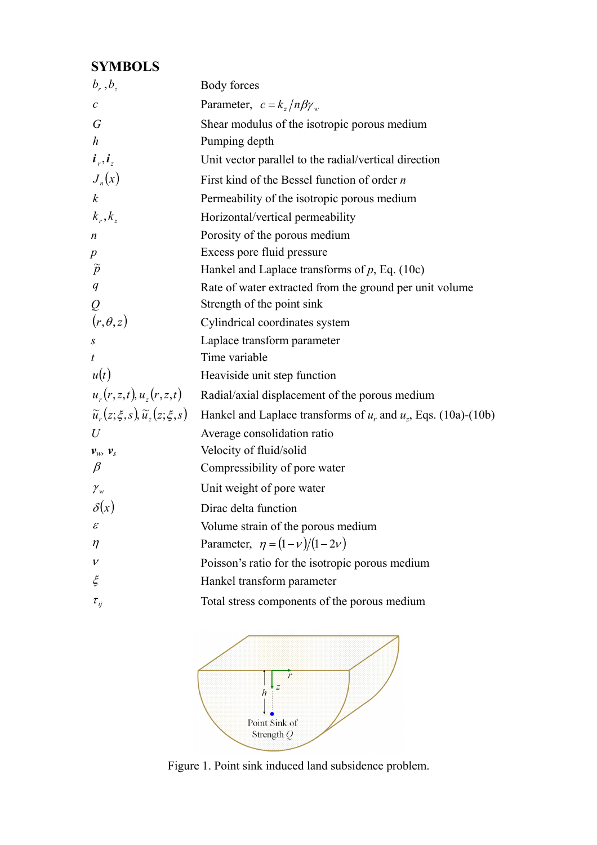# **SYMBOLS**

| $b_r$ , $b_z$                                            | Body forces                                                         |
|----------------------------------------------------------|---------------------------------------------------------------------|
| $\mathcal{C}$                                            | Parameter, $c = k_z/n\beta\gamma_w$                                 |
| $\sqrt{G}$                                               | Shear modulus of the isotropic porous medium                        |
| $\boldsymbol{h}$                                         | Pumping depth                                                       |
| $\boldsymbol{i}_r, \boldsymbol{i}_z$                     | Unit vector parallel to the radial/vertical direction               |
| $J_n(x)$                                                 | First kind of the Bessel function of order $n$                      |
| $\boldsymbol{k}$                                         | Permeability of the isotropic porous medium                         |
| $k_r, k_z$                                               | Horizontal/vertical permeability                                    |
| $\boldsymbol{n}$                                         | Porosity of the porous medium                                       |
| $\boldsymbol{p}$                                         | Excess pore fluid pressure                                          |
| $\widetilde{p}$                                          | Hankel and Laplace transforms of $p$ , Eq. (10c)                    |
| q                                                        | Rate of water extracted from the ground per unit volume             |
| ${\cal Q}$                                               | Strength of the point sink                                          |
| $(r, \theta, z)$                                         | Cylindrical coordinates system                                      |
| S                                                        | Laplace transform parameter                                         |
| $\boldsymbol{t}$                                         | Time variable                                                       |
| u(t)                                                     | Heaviside unit step function                                        |
| $u_r(r, z, t), u_z(r, z, t)$                             | Radial/axial displacement of the porous medium                      |
| $\tilde{u}_{r}(z;\xi,s), \tilde{u}_{r}(z;\xi,s)$         | Hankel and Laplace transforms of $u_r$ and $u_z$ , Eqs. (10a)-(10b) |
| $\mathcal U$                                             | Average consolidation ratio                                         |
| $\boldsymbol{\mathcal{V}}_W,~\boldsymbol{\mathcal{V}}_S$ | Velocity of fluid/solid                                             |
| $\beta$                                                  | Compressibility of pore water                                       |
| ${\mathcal{V}}_w$                                        | Unit weight of pore water                                           |
| $\delta(x)$                                              | Dirac delta function                                                |
| $\mathcal{E}$                                            | Volume strain of the porous medium                                  |
| $\eta$                                                   | Parameter, $\eta = (1 - v)/(1 - 2v)$                                |
| $\mathcal V$                                             | Poisson's ratio for the isotropic porous medium                     |
| $\xi$                                                    | Hankel transform parameter                                          |
| $\tau_{\scriptscriptstyle ij}$                           | Total stress components of the porous medium                        |



Figure 1. Point sink induced land subsidence problem.